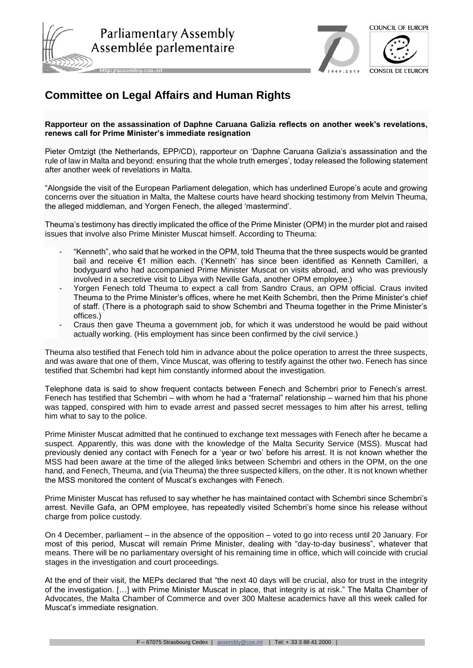





http://assembly.coe.int

## **Committee on Legal Affairs and Human Rights**

## **Rapporteur on the assassination of Daphne Caruana Galizia reflects on another week's revelations, renews call for Prime Minister's immediate resignation**

Pieter Omtzigt (the Netherlands, EPP/CD), rapporteur on 'Daphne Caruana Galizia's assassination and the rule of law in Malta and beyond: ensuring that the whole truth emerges', today released the following statement after another week of revelations in Malta.

"Alongside the visit of the European Parliament delegation, which has underlined Europe's acute and growing concerns over the situation in Malta, the Maltese courts have heard shocking testimony from Melvin Theuma, the alleged middleman, and Yorgen Fenech, the alleged 'mastermind'.

Theuma's testimony has directly implicated the office of the Prime Minister (OPM) in the murder plot and raised issues that involve also Prime Minister Muscat himself. According to Theuma:

- "Kenneth", who said that he worked in the OPM, told Theuma that the three suspects would be granted bail and receive €1 million each. ('Kenneth' has since been identified as Kenneth Camilleri, a bodyguard who had accompanied Prime Minister Muscat on visits abroad, and who was previously involved in a secretive visit to Libya with Neville Gafa, another OPM employee.)
- Yorgen Fenech told Theuma to expect a call from Sandro Craus, an OPM official. Craus invited Theuma to the Prime Minister's offices, where he met Keith Schembri, then the Prime Minister's chief of staff. (There is a photograph said to show Schembri and Theuma together in the Prime Minister's offices.)
- Craus then gave Theuma a government job, for which it was understood he would be paid without actually working. (His employment has since been confirmed by the civil service.)

Theuma also testified that Fenech told him in advance about the police operation to arrest the three suspects, and was aware that one of them, Vince Muscat, was offering to testify against the other two. Fenech has since testified that Schembri had kept him constantly informed about the investigation.

Telephone data is said to show frequent contacts between Fenech and Schembri prior to Fenech's arrest. Fenech has testified that Schembri – with whom he had a "fraternal" relationship – warned him that his phone was tapped, conspired with him to evade arrest and passed secret messages to him after his arrest, telling him what to say to the police.

Prime Minister Muscat admitted that he continued to exchange text messages with Fenech after he became a suspect. Apparently, this was done with the knowledge of the Malta Security Service (MSS). Muscat had previously denied any contact with Fenech for a 'year or two' before his arrest. It is not known whether the MSS had been aware at the time of the alleged links between Schembri and others in the OPM, on the one hand, and Fenech, Theuma, and (via Theuma) the three suspected killers, on the other. It is not known whether the MSS monitored the content of Muscat's exchanges with Fenech.

Prime Minister Muscat has refused to say whether he has maintained contact with Schembri since Schembri's arrest. Neville Gafa, an OPM employee, has repeatedly visited Schembri's home since his release without charge from police custody.

On 4 December, parliament – in the absence of the opposition – voted to go into recess until 20 January. For most of this period, Muscat will remain Prime Minister, dealing with "day-to-day business", whatever that means. There will be no parliamentary oversight of his remaining time in office, which will coincide with crucial stages in the investigation and court proceedings.

At the end of their visit, the MEPs declared that "the next 40 days will be crucial, also for trust in the integrity of the investigation. […] with Prime Minister Muscat in place, that integrity is at risk." The Malta Chamber of Advocates, the Malta Chamber of Commerce and over 300 Maltese academics have all this week called for Muscat's immediate resignation.